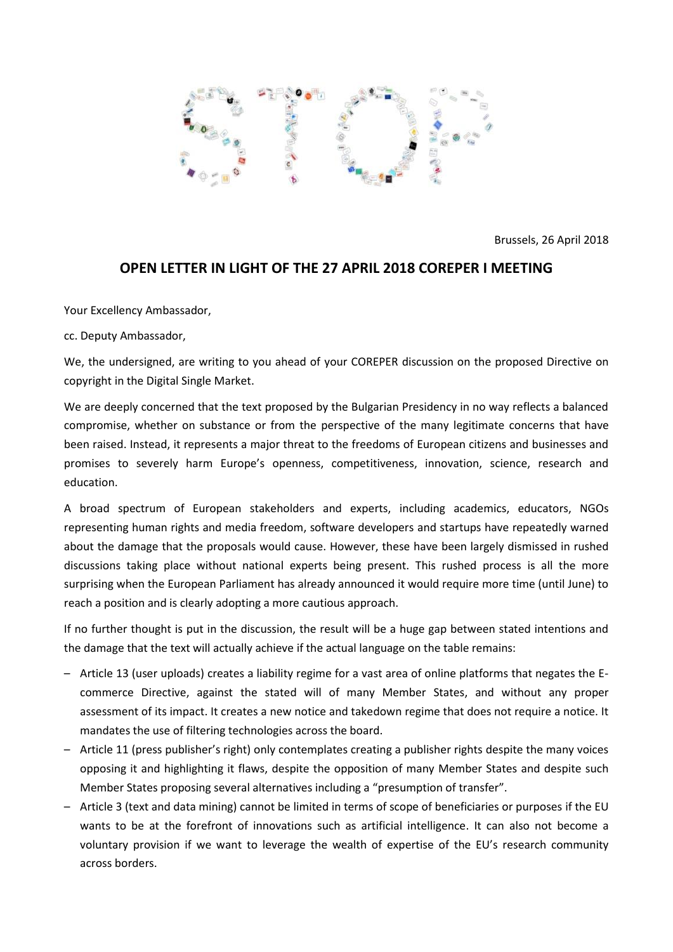

Brussels, 26 April 2018

# **OPEN LETTER IN LIGHT OF THE 27 APRIL 2018 COREPER I MEETING**

Your Excellency Ambassador,

cc. Deputy Ambassador,

We, the undersigned, are writing to you ahead of your COREPER discussion on the proposed Directive on copyright in the Digital Single Market.

We are deeply concerned that the text proposed by the Bulgarian Presidency in no way reflects a balanced compromise, whether on substance or from the perspective of the many legitimate concerns that have been raised. Instead, it represents a major threat to the freedoms of European citizens and businesses and promises to severely harm Europe's openness, competitiveness, innovation, science, research and education.

A broad spectrum of European stakeholders and experts, including academics, educators, NGOs representing human rights and media freedom, software developers and startups have repeatedly warned about the damage that the proposals would cause. However, these have been largely dismissed in rushed discussions taking place without national experts being present. This rushed process is all the more surprising when the European Parliament has already announced it would require more time (until June) to reach a position and is clearly adopting a more cautious approach.

If no further thought is put in the discussion, the result will be a huge gap between stated intentions and the damage that the text will actually achieve if the actual language on the table remains:

- Article 13 (user uploads) creates a liability regime for a vast area of online platforms that negates the Ecommerce Directive, against the stated will of many Member States, and without any proper assessment of its impact. It creates a new notice and takedown regime that does not require a notice. It mandates the use of filtering technologies across the board.
- Article 11 (press publisher's right) only contemplates creating a publisher rights despite the many voices opposing it and highlighting it flaws, despite the opposition of many Member States and despite such Member States proposing several alternatives including a "presumption of transfer".
- Article 3 (text and data mining) cannot be limited in terms of scope of beneficiaries or purposes if the EU wants to be at the forefront of innovations such as artificial intelligence. It can also not become a voluntary provision if we want to leverage the wealth of expertise of the EU's research community across borders.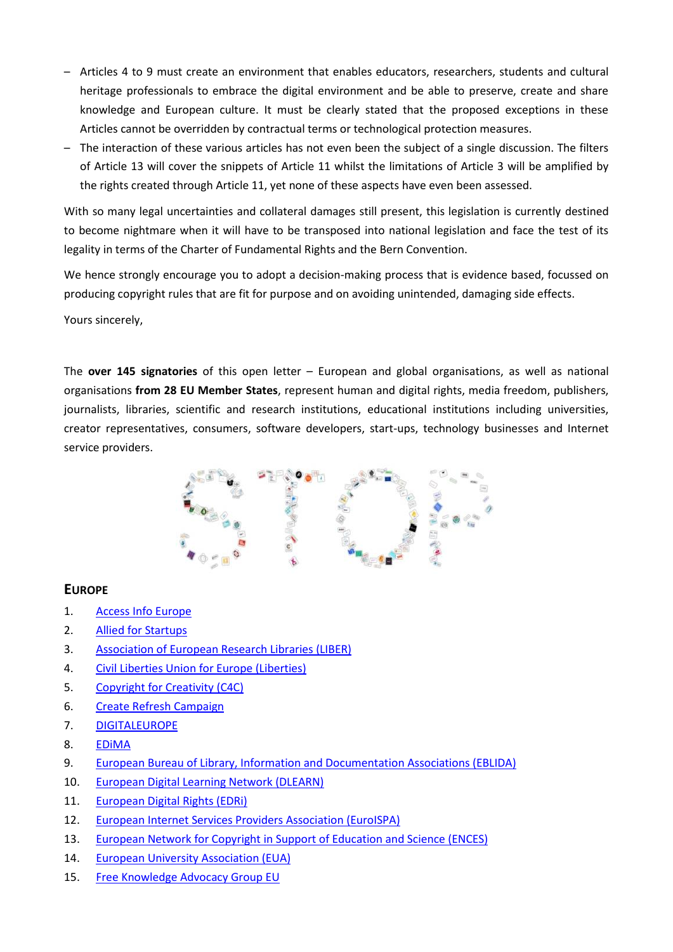- Articles 4 to 9 must create an environment that enables educators, researchers, students and cultural heritage professionals to embrace the digital environment and be able to preserve, create and share knowledge and European culture. It must be clearly stated that the proposed exceptions in these Articles cannot be overridden by contractual terms or technological protection measures.
- The interaction of these various articles has not even been the subject of a single discussion. The filters of Article 13 will cover the snippets of Article 11 whilst the limitations of Article 3 will be amplified by the rights created through Article 11, yet none of these aspects have even been assessed.

With so many legal uncertainties and collateral damages still present, this legislation is currently destined to become nightmare when it will have to be transposed into national legislation and face the test of its legality in terms of the Charter of Fundamental Rights and the Bern Convention.

We hence strongly encourage you to adopt a decision-making process that is evidence based, focussed on producing copyright rules that are fit for purpose and on avoiding unintended, damaging side effects.

Yours sincerely,

The **over 145 signatories** of this open letter – European and global organisations, as well as national organisations **from 28 EU Member States**, represent human and digital rights, media freedom, publishers, journalists, libraries, scientific and research institutions, educational institutions including universities, creator representatives, consumers, software developers, start-ups, technology businesses and Internet service providers.



## **EUROPE**

- 1. [Access Info Europe](https://www.access-info.org/)
- 2. [Allied for Startups](http://alliedforstartups.org/)
- 3. [Association of European Research Libraries \(LIBER\)](http://libereurope.eu/)
- 4. [Civil Liberties Union for Europe \(Liberties\)](https://www.liberties.eu/)
- 5. [Copyright for Creativity \(C4C\)](http://copyright4creativity.eu/)
- 6. [Create Refresh Campaign](https://createrefresh.eu/)
- 7. [DIGITALEUROPE](http://www.digitaleurope.org/)
- 8. [EDiMA](http://edima-eu.org/)
- 9. [European Bureau of Library, Information and Documentation Associations \(EBLIDA\)](http://www.eblida.org/)
- 10. [European Digital Learning Network \(DLEARN\)](http://dlearn.eu/)
- 11. [European Digital Rights \(EDRi\)](https://edri.org/)
- 12. [European Internet Services Providers Association \(EuroISPA\)](http://www.euroispa.org/)
- 13. [European Network for Copyright in Support of Education and Science \(ENCES\)](http://www.ences.eu/)
- 14. [European University Association \(EUA\)](http://www.eua.be/)
- 15. [Free Knowledge Advocacy Group EU](https://meta.wikimedia.org/wiki/EU_policy)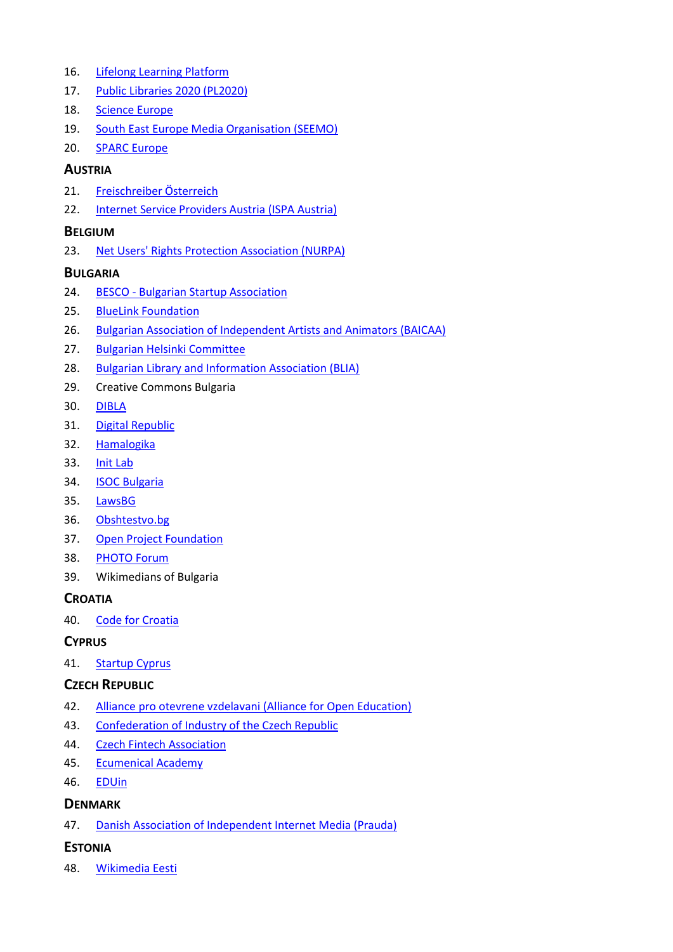- 16. [Lifelong Learning Platform](http://www.llllplatform.eu/)
- 17. [Public Libraries 2020 \(PL2020\)](http://www.publiclibraries2020.eu/)
- 18. [Science Europe](http://www.scienceeurope.org/)
- 19. [South East Europe Media Organisation \(SEEMO\)](https://www.seemo.org/)
- 20. [SPARC Europe](https://sparceurope.org/)

#### **AUSTRIA**

- 21. [Freischreiber Österreich](http://www.freischreiber.at/)
- 22. [Internet Service Providers Austria \(ISPA Austria\)](https://www.ispa.at/)

### **BELGIUM**

23. [Net Users' Rights Protection Association \(NURPA\)](https://nurpa.be/)

## **BULGARIA**

- 24. BESCO [Bulgarian Startup](https://besco.bg/) Association
- 25. [BlueLink Foundation](http://www.bluelink.net/)
- 26. [Bulgarian Association of Independent Artists and Animators \(BAICAA\)](http://www.baicaa.org/)
- 27. [Bulgarian Helsinki Committee](http://bghelsinki.org/bg/)
- 28. [Bulgarian Library and Information Association \(BLIA\)](http://www.lib.bg/)
- 29. Creative Commons Bulgaria
- 30. [DIBLA](http://www.dibla.com/)
- 31. [Digital Republic](http://digrep.bg/)
- 32. [Hamalogika](https://hamalogika.com/)
- 33. [Init Lab](https://initlab.org/)
- 34. [ISOC Bulgaria](https://www.isoc.bg/)
- 35. [LawsBG](http://www.lawsbg.com/)
- 36. [Obshtestvo.bg](http://www.obshtestvo.bg/)
- 37. [Open Project Foundation](http://openfest.org/)
- 38. [PHOTO Forum](http://photo-forum.net/)
- 39. Wikimedians of Bulgaria

#### **CROATIA**

40. [Code for Croatia](https://codeforcroatia.org/)

#### **CYPRUS**

41. [Startup Cyprus](http://startupcyprus.org/)

#### **CZECH REPUBLIC**

- 42. [Alliance pro otevrene vzdelavani \(Alliance for Open Education\)](http://www.otevrenevzdelavani.cz/)
- 43. [Confederation of Industry of the Czech Republic](https://www.spcr.cz/)
- 44. [Czech Fintech Association](http://czechfintech.cz/)
- 45. [Ecumenical Academy](https://ekumakad.cz/)
- 46. **[EDUin](http://www.eduin.cz/)**

#### **DENMARK**

47. [Danish Association of Independent Internet Media \(Prauda\)](http://www.prauda.dk/)

## **ESTONIA**

48. [Wikimedia Eesti](http://wikimedia.ee/)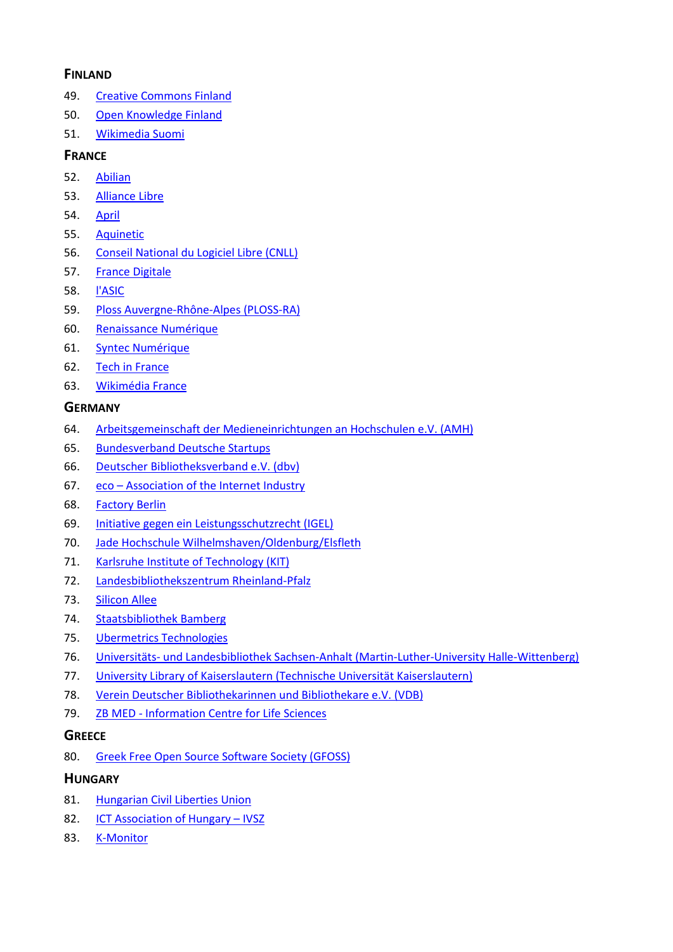## **FINLAND**

- 49. [Creative Commons Finland](http://creativecommons.fi/)
- 50. [Open Knowledge Finland](https://fi.okfn.org/)
- 51. [Wikimedia Suomi](https://fi.wikimedia.org/wiki/Etusivu)

## **FRANCE**

- 52. [Abilian](http://www.abilian.com/)
- 53. [Alliance Libre](http://alliance-libre.org/)
- 54. [April](https://april.org/)
- 55. [Aquinetic](https://pole-aquinetic.fr/)
- 56. [Conseil National du Logiciel Libre \(CNLL\)](http://www.cnll.fr/)
- 57. [France Digitale](http://www.francedigitale.org/)
- 58. [l'ASIC](http://www.lasic.fr/)
- 59. [Ploss Auvergne-Rhône-Alpes \(PLOSS-RA\)](http://www.ploss-ra.fr/)
- 60. [Renaissance Numérique](http://www.renaissancenumerique.org/)
- 61. [Syntec Numérique](https://syntec-numerique.fr/)
- 62. [Tech in France](http://www.techinfrance.fr/)
- 63. [Wikimédia France](https://www.wikimedia.fr/)

### **GERMANY**

- 64. [Arbeitsgemeinschaft der Medieneinrichtungen an Hochschulen e.V. \(AMH\)](https://amh-ev.de/)
- 65. [Bundesverband Deutsche Startups](https://www.deutschestartups.org/)
- 66. [Deutscher Bibliotheksverband e.V. \(dbv\)](http://www.bibliotheksverband.de/)
- 67. eco [Association of the Internet Industry](http://www.eco.de/)
- 68. [Factory Berlin](https://factoryberlin.com/)
- 69. [Initiative gegen ein Leistungsschutzrecht \(IGEL\)](http://leistungsschutzrecht.info/)
- 70. [Jade Hochschule Wilhelmshaven/Oldenburg/Elsfleth](http://www.jade-hs.de/)
- 71. [Karlsruhe Institute of Technology \(KIT\)](https://www.kit.edu/)
- 72. [Landesbibliothekszentrum Rheinland-Pfalz](https://lbz.rlp.de/)
- 73. [Silicon Allee](http://www.siliconallee.com/)
- 74. [Staatsbibliothek Bamberg](https://www.staatsbibliothek-bamberg.de/)
- 75. [Ubermetrics Technologies](https://www.ubermetrics-technologies.com/)
- 76. Universitäts- [und Landesbibliothek Sachsen-Anhalt \(Martin-Luther-University Halle-Wittenberg\)](http://bibliothek.uni-halle.de/)
- 77. [University Library of Kaiserslautern \(Technische Universität Kaiserslautern\)](https://www.ub.uni-kl.de/)
- 78. [Verein Deutscher Bibliothekarinnen und Bibliothekare e.V. \(VDB\)](http://www.vdb-online.org/)
- 79. ZB MED [Information Centre for Life Sciences](https://www.zbmed.de/)

#### **GREECE**

80. [Greek Free Open Source Software Society \(GFOSS\)](https://gfoss.eu/)

#### **HUNGARY**

- 81. [Hungarian Civil Liberties Union](https://tasz.hu/)
- 82. **[ICT Association of Hungary](http://ivsz.hu/)  IVSZ**
- 83. [K-Monitor](http://k-monitor.hu/)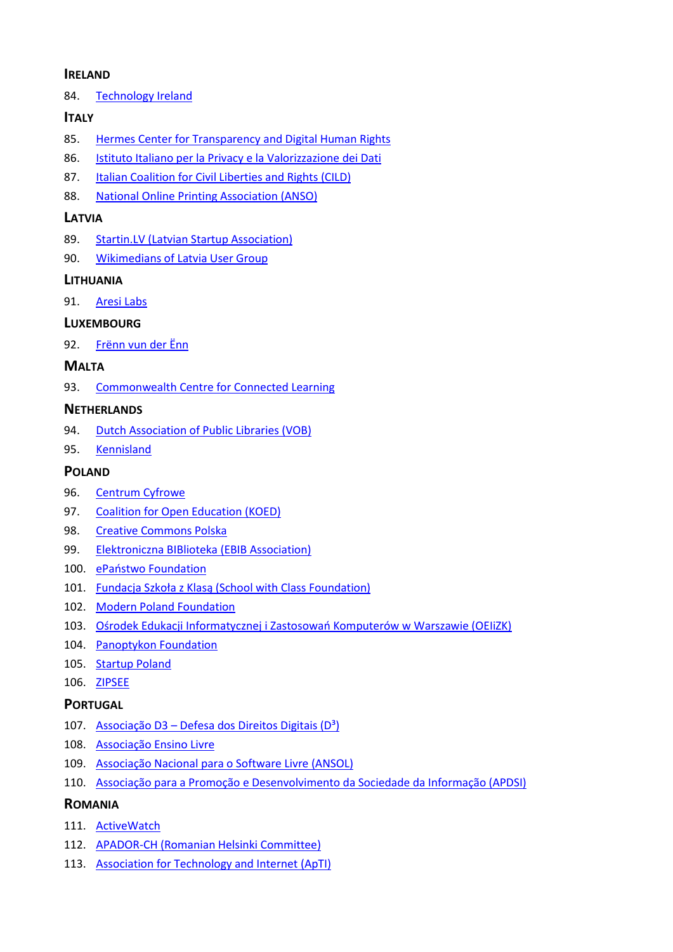#### **IRELAND**

84. [Technology Ireland](http://www.technology-ireland.ie/)

## **ITALY**

- 85. [Hermes Center for Transparency and Digital Human Rights](https://www.hermescenter.org/)
- 86. [Istituto Italiano per la Privacy e la Valorizzazione dei Dati](https://www.istitutoitalianoprivacy.it/)
- 87. [Italian Coalition for Civil Liberties and Rights \(CILD\)](https://cild.eu/)
- 88. [National Online Printing Association \(ANSO\)](http://www.anso.it/)

### **LATVIA**

- 89. [Startin.LV \(Latvian Startup Association\)](http://startin.lv/)
- 90. [Wikimedians of Latvia User Group](https://meta.wikimedia.org/wiki/Wikimedians_of_Latvia_User_Group)

## **LITHUANIA**

91. [Aresi Labs](http://www.aresilabs.com/)

## **LUXEMBOURG**

92. [Frënn vun der Ënn](https://enn.lu/)

# **MALTA**

93. [Commonwealth Centre for Connected Learning](http://connectedlearning.edu.mt/)

## **NETHERLANDS**

- 94. [Dutch Association of Public Libraries \(VOB\)](http://www.debibliotheken.nl/)
- 95. [Kennisland](https://www.kl.nl/)

## **POLAND**

- 96. [Centrum Cyfrowe](https://centrumcyfrowe.pl/)
- 97. [Coalition for Open Education \(KOED\)](http://koed.org.pl/)
- 98. [Creative Commons Polska](https://creativecommons.pl/)
- 99. [Elektroniczna BIBlioteka \(EBIB Association\)](http://www.ebib.pl/)
- 100. [ePaństwo Foundation](https://epf.org.pl/)
- 101. Fundacja Szkoła z Klasą [\(School with Class Foundation\)](http://www.szkolazklasa.org.pl/)
- 102. [Modern Poland Foundation](https://nowoczesnapolska.org.pl/)
- 103. [Ośrodek Edukacji Informatycznej i Zastosowań Komputerów w Warszawie \(OEIiZK\)](http://www.oeiizk.waw.pl/)
- 104. [Panoptykon Foundation](https://panoptykon.org/)
- 105. [Startup Poland](http://startuppoland.org/)
- 106. [ZIPSEE](http://zipsee.pl/)

## **PORTUGAL**

- 107. Associação D3 Defesa dos Direitos Digitais ( $D^3$ )
- 108. [Associação Ensino Livre](https://ensinolivre.pt/)
- 109. [Associação Nacional para o Software Livre \(ANSOL\)](https://ansol.org/)
- 110. [Associação para a Promoção e Desenvolvimento da Sociedade da Informação \(APDSI\)](http://apdsi.pt/)

#### **ROMANIA**

- 111. [ActiveWatch](http://www.activewatch.ro/en/home/)
- 112. [APADOR-CH \(Romanian Helsinki Committee\)](http://www.apador.org/)
- 113. [Association for Technology and Internet \(ApTI\)](https://www.apti.ro/)